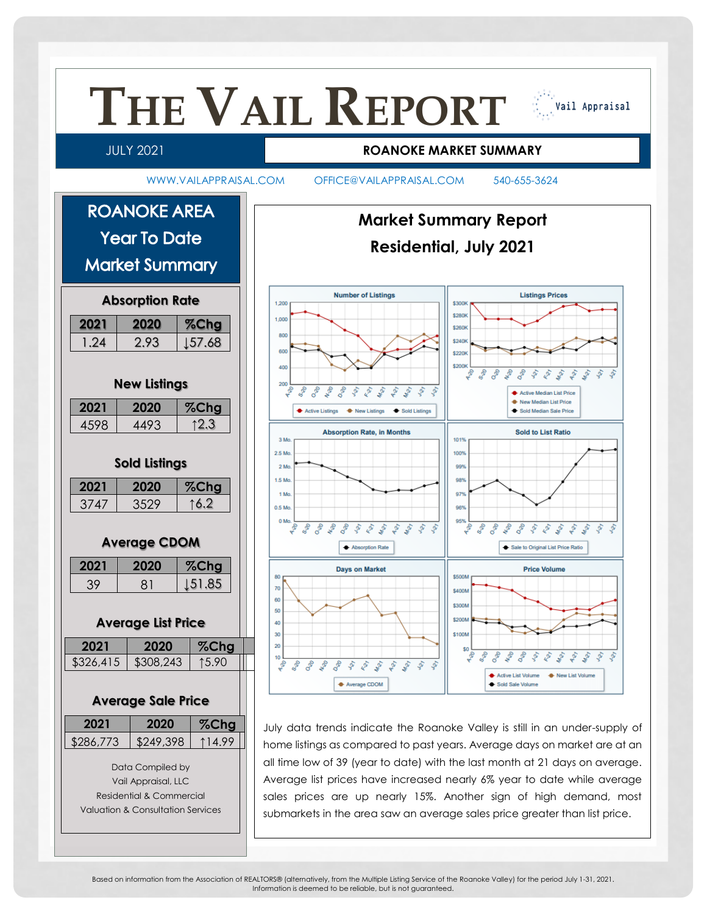

Based on information from the Association of REALTORS® (alternatively, from the Multiple Listing Service of the Roanoke Valley) for the period July 1-31, 2021. Information is deemed to be reliable, but is not guaranteed.